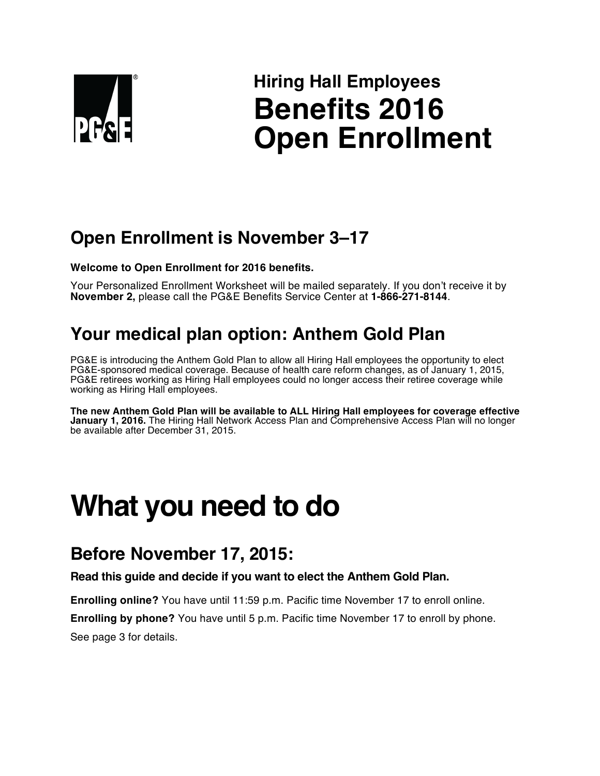

# **Hiring Hall Employees Benefits 2016 Open Enrollment**

# **Open Enrollment is November 3–17**

**Welcome to Open Enrollment for 2016 benefits.**

Your Personalized Enrollment Worksheet will be mailed separately. If you don't receive it by **November 2,** please call the PG&E Benefits Service Center at **1-866-271-8144**.

# **Your medical plan option: Anthem Gold Plan**

PG&E is introducing the Anthem Gold Plan to allow all Hiring Hall employees the opportunity to elect PG&E-sponsored medical coverage. Because of health care reform changes, as of January 1, 2015, PG&E retirees working as Hiring Hall employees could no longer access their retiree coverage while working as Hiring Hall employees.

**The new Anthem Gold Plan will be available to ALL Hiring Hall employees for coverage effective January 1, 2016.** The Hiring Hall Network Access Plan and Comprehensive Access Plan will no longer be available after December 31, 2015.

# **What you need to do**

# **Before November 17, 2015:**

**Read this guide and decide if you want to elect the Anthem Gold Plan.** 

**Enrolling online?** You have until 11:59 p.m. Pacific time November 17 to enroll online.

**Enrolling by phone?** You have until 5 p.m. Pacific time November 17 to enroll by phone. See page 3 for details.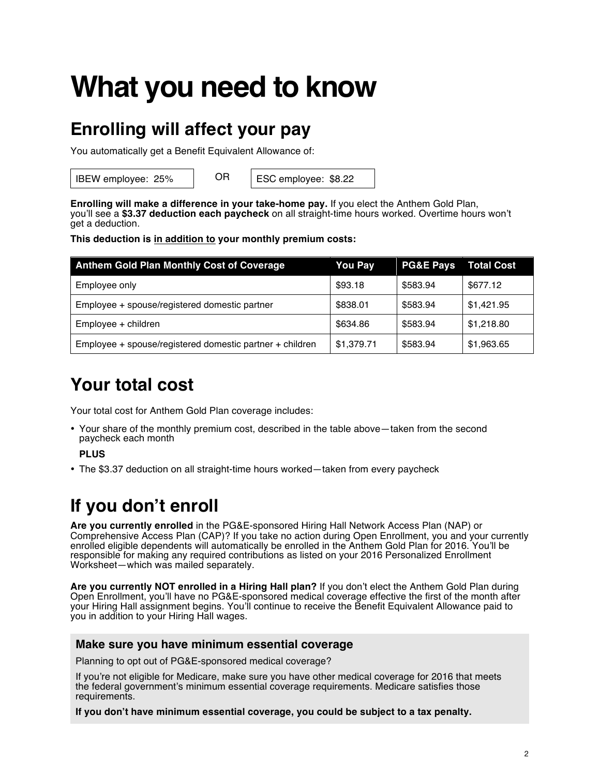# **What you need to know**

# **Enrolling will affect your pay**

You automatically get a Benefit Equivalent Allowance of:

IBEW employee: 25% OR ESC employee: \$8.22

**Enrolling will make a difference in your take-home pay.** If you elect the Anthem Gold Plan, you'll see a **\$3.37 deduction each paycheck** on all straight-time hours worked. Overtime hours won't get a deduction.

**This deduction is in addition to your monthly premium costs:**

| <b>Anthem Gold Plan Monthly Cost of Coverage</b>         | <b>You Pay</b> | <b>PG&amp;E Pays</b> | <b>Total Cost</b> |
|----------------------------------------------------------|----------------|----------------------|-------------------|
| Employee only                                            | \$93.18        | \$583.94             | \$677.12          |
| Employee + spouse/registered domestic partner            | \$838.01       | \$583.94             | \$1,421.95        |
| Employee + children                                      | \$634.86       | \$583.94             | \$1,218.80        |
| Employee + spouse/registered domestic partner + children | \$1,379.71     | \$583.94             | \$1,963.65        |

# **Your total cost**

Your total cost for Anthem Gold Plan coverage includes:

• Your share of the monthly premium cost, described in the table above—taken from the second paycheck each month

**PLUS**

• The \$3.37 deduction on all straight-time hours worked—taken from every paycheck

# **If you don't enroll**

**Are you currently enrolled** in the PG&E-sponsored Hiring Hall Network Access Plan (NAP) or Comprehensive Access Plan (CAP)? If you take no action during Open Enrollment, you and your currently enrolled eligible dependents will automatically be enrolled in the Anthem Gold Plan for 2016. You'll be responsible for making any required contributions as listed on your 2016 Personalized Enrollment Worksheet—which was mailed separately.

**Are you currently NOT enrolled in a Hiring Hall plan?** If you don't elect the Anthem Gold Plan during Open Enrollment, you'll have no PG&E-sponsored medical coverage effective the first of the month after your Hiring Hall assignment begins. You'll continue to receive the Benefit Equivalent Allowance paid to you in addition to your Hiring Hall wages.

### **Make sure you have minimum essential coverage**

Planning to opt out of PG&E-sponsored medical coverage?

If you're not eligible for Medicare, make sure you have other medical coverage for 2016 that meets the federal government's minimum essential coverage requirements. Medicare satisfies those requirements.

**If you don't have minimum essential coverage, you could be subject to a tax penalty.**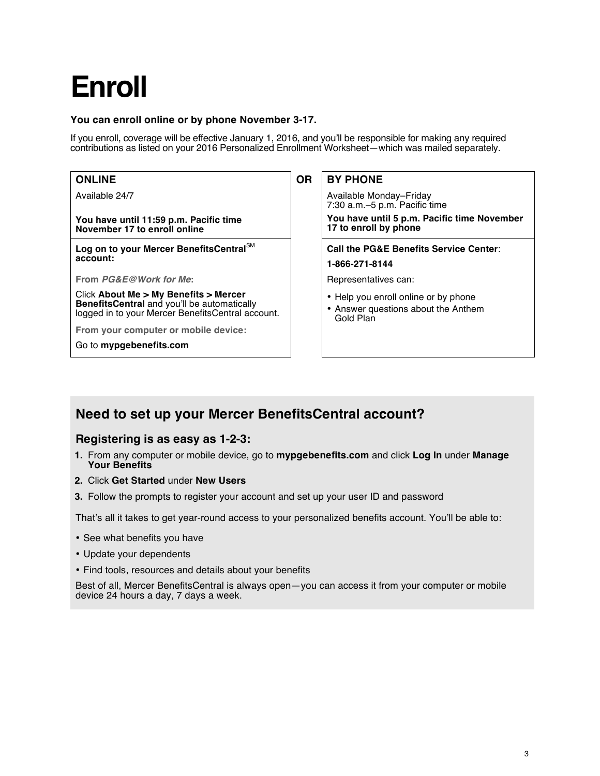# **Enroll**

### **You can enroll online or by phone November 3-17.**

If you enroll, coverage will be effective January 1, 2016, and you'll be responsible for making any required contributions as listed on your 2016 Personalized Enrollment Worksheet—which was mailed separately.

| <b>ONLINE</b>                                                                                                                                    | <b>OR</b> | <b>BY PHONE</b>                                                                          |
|--------------------------------------------------------------------------------------------------------------------------------------------------|-----------|------------------------------------------------------------------------------------------|
| Available 24/7                                                                                                                                   |           | Available Monday-Friday<br>7:30 a.m.–5 p.m. Pacific time                                 |
| You have until 11:59 p.m. Pacific time<br>November 17 to enroll online                                                                           |           | You have until 5 p.m. Pacific time November<br>17 to enroll by phone                     |
| Log on to your Mercer BenefitsCentral <sup>SM</sup><br>account:                                                                                  |           | <b>Call the PG&amp;E Benefits Service Center:</b><br>1-866-271-8144                      |
| From <i>PG&amp;E@Work for Me:</i>                                                                                                                |           | Representatives can:                                                                     |
| Click About Me > My Benefits > Mercer<br><b>BenefitsCentral</b> and you'll be automatically<br>logged in to your Mercer BenefitsCentral account. |           | • Help you enroll online or by phone<br>• Answer questions about the Anthem<br>Gold Plan |
| From your computer or mobile device:                                                                                                             |           |                                                                                          |
| Go to mypgebenefits.com                                                                                                                          |           |                                                                                          |

### **Need to set up your Mercer BenefitsCentral account?**

### **Registering is as easy as 1-2-3:**

- **1.** From any computer or mobile device, go to **mypgebenefits.com** and click **Log In** under **Manage Your Benefits**
- **2.** Click **Get Started** under **New Users**
- **3.** Follow the prompts to register your account and set up your user ID and password

That's all it takes to get year-round access to your personalized benefits account. You'll be able to:

- See what benefits you have
- Update your dependents
- Find tools, resources and details about your benefits

Best of all, Mercer BenefitsCentral is always open—you can access it from your computer or mobile device 24 hours a day, 7 days a week.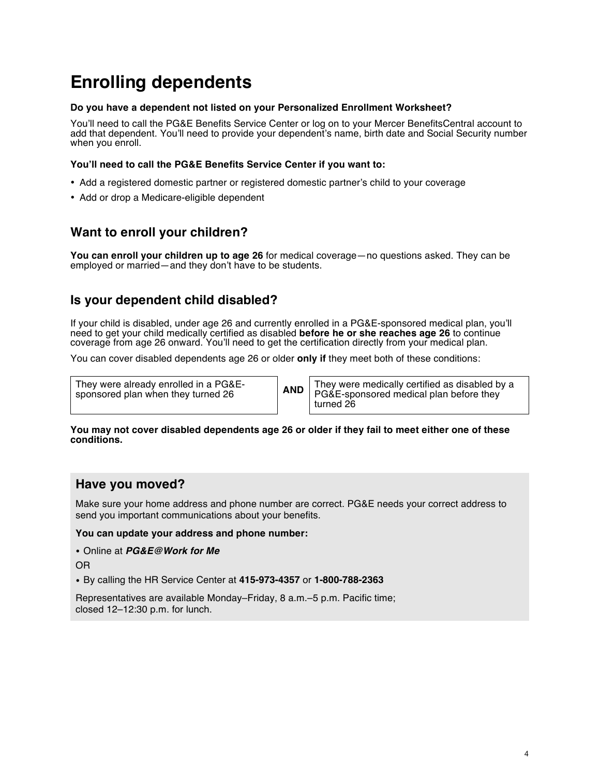# **Enrolling dependents**

### **Do you have a dependent not listed on your Personalized Enrollment Worksheet?**

You'll need to call the PG&E Benefits Service Center or log on to your Mercer BenefitsCentral account to add that dependent. You'll need to provide your dependent's name, birth date and Social Security number when you enroll.

### **You'll need to call the PG&E Benefits Service Center if you want to:**

- Add a registered domestic partner or registered domestic partner's child to your coverage
- Add or drop a Medicare-eligible dependent

### **Want to enroll your children?**

**You can enroll your children up to age 26** for medical coverage—no questions asked. They can be employed or married—and they don't have to be students.

### **Is your dependent child disabled?**

If your child is disabled, under age 26 and currently enrolled in a PG&E-sponsored medical plan, you'll need to get your child medically certified as disabled **before he or she reaches age 26** to continue coverage from age 26 onward. You'll need to get the certification directly from your medical plan.

You can cover disabled dependents age 26 or older **only if** they meet both of these conditions:

They were already enrolled in a PG&E-sponsored plan when they turned 26

They were already enrolled in a PG&E-<br>sponsored plan when they turned 26 **AND** PG&E-sponsored medical plan before they turned 26

#### **You may not cover disabled dependents age 26 or older if they fail to meet either one of these conditions.**

### **Have you moved?**

Make sure your home address and phone number are correct. PG&E needs your correct address to send you important communications about your benefits.

### **You can update your address and phone number:**

• Online at *PG&E@Work for Me*

OR

• By calling the HR Service Center at **415-973-4357** or **1-800-788-2363**

Representatives are available Monday–Friday, 8 a.m.–5 p.m. Pacific time; closed 12–12:30 p.m. for lunch.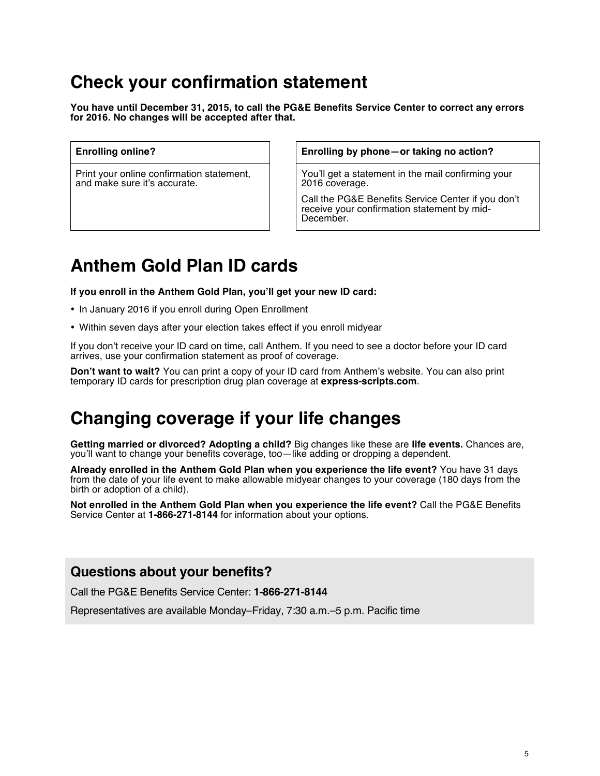# **Check your confirmation statement**

**You have until December 31, 2015, to call the PG&E Benefits Service Center to correct any errors for 2016. No changes will be accepted after that.**

Print your online confirmation statement, and make sure it's accurate.

**Enrolling online? Enrolling by phone—or taking no action?**

You'll get a statement in the mail confirming your 2016 coverage.

Call the PG&E Benefits Service Center if you don't receive your confirmation statement by mid-December.

# **Anthem Gold Plan ID cards**

**If you enroll in the Anthem Gold Plan, you'll get your new ID card:**

- In January 2016 if you enroll during Open Enrollment
- Within seven days after your election takes effect if you enroll midyear

If you don't receive your ID card on time, call Anthem. If you need to see a doctor before your ID card arrives, use your confirmation statement as proof of coverage.

**Don't want to wait?** You can print a copy of your ID card from Anthem's website. You can also print temporary ID cards for prescription drug plan coverage at **express-scripts.com**.

### **Changing coverage if your life changes**

**Getting married or divorced? Adopting a child?** Big changes like these are **life events.** Chances are, you'll want to change your benefits coverage, too—like adding or dropping a dependent.

**Already enrolled in the Anthem Gold Plan when you experience the life event?** You have 31 days from the date of your life event to make allowable midyear changes to your coverage (180 days from the birth or adoption of a child).

**Not enrolled in the Anthem Gold Plan when you experience the life event?** Call the PG&E Benefits Service Center at **1-866-271-8144** for information about your options.

### **Questions about your benefits?**

Call the PG&E Benefits Service Center: **1-866-271-8144**

Representatives are available Monday–Friday, 7:30 a.m.–5 p.m. Pacific time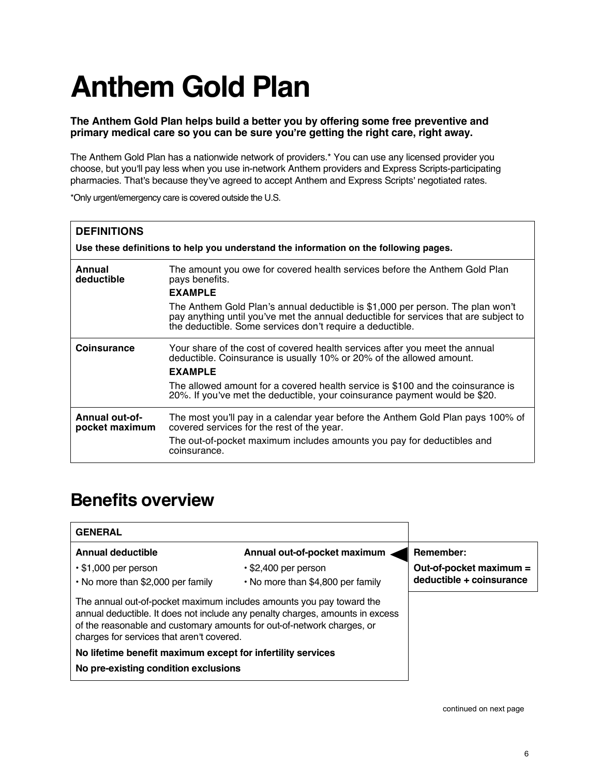# **Anthem Gold Plan**

### **The Anthem Gold Plan helps build a better you by offering some free preventive and primary medical care so you can be sure you re getting the right care, right away.**

The Anthem Gold Plan has a nationwide network of providers.\* You can use any licensed provider you choose, but you'll pay less when you use in-network Anthem providers and Express Scripts-participating pharmacies. That's because they've agreed to accept Anthem and Express Scripts' negotiated rates.

\*Only urgent/emergency care is covered outside the U.S.

| <b>DEFINITIONS</b><br>Use these definitions to help you understand the information on the following pages. |                                                                                                                                                                                                                                     |  |  |
|------------------------------------------------------------------------------------------------------------|-------------------------------------------------------------------------------------------------------------------------------------------------------------------------------------------------------------------------------------|--|--|
| Annual<br>deductible                                                                                       | The amount you owe for covered health services before the Anthem Gold Plan<br>pays benefits.<br><b>EXAMPLE</b>                                                                                                                      |  |  |
|                                                                                                            | The Anthem Gold Plan's annual deductible is \$1,000 per person. The plan won't<br>pay anything until you've met the annual deductible for services that are subject to<br>the deductible. Some services don't require a deductible. |  |  |
| <b>Coinsurance</b>                                                                                         | Your share of the cost of covered health services after you meet the annual<br>deductible. Coinsurance is usually 10% or 20% of the allowed amount.<br><b>EXAMPLE</b>                                                               |  |  |
|                                                                                                            | The allowed amount for a covered health service is \$100 and the coinsurance is<br>20%. If you've met the deductible, your coinsurance payment would be \$20.                                                                       |  |  |
| <b>Annual out-of-</b><br>pocket maximum                                                                    | The most you'll pay in a calendar year before the Anthem Gold Plan pays 100% of<br>covered services for the rest of the year.<br>The out-of-pocket maximum includes amounts you pay for deductibles and<br>coinsurance.             |  |  |

### **Benefits overview**

| <b>GENERAL</b>                                                                                                                                                                                                                                                               |                                                                 |                                                     |
|------------------------------------------------------------------------------------------------------------------------------------------------------------------------------------------------------------------------------------------------------------------------------|-----------------------------------------------------------------|-----------------------------------------------------|
| <b>Annual deductible</b>                                                                                                                                                                                                                                                     | Annual out-of-pocket maximum                                    | Remember:                                           |
| $\cdot$ \$1,000 per person<br>• No more than \$2,000 per family                                                                                                                                                                                                              | $\cdot$ \$2,400 per person<br>• No more than \$4,800 per family | Out-of-pocket maximum =<br>deductible + coinsurance |
| The annual out-of-pocket maximum includes amounts you pay toward the<br>annual deductible. It does not include any penalty charges, amounts in excess<br>of the reasonable and customary amounts for out-of-network charges, or<br>charges for services that aren't covered. |                                                                 |                                                     |
| No lifetime benefit maximum except for infertility services                                                                                                                                                                                                                  |                                                                 |                                                     |
| No pre-existing condition exclusions                                                                                                                                                                                                                                         |                                                                 |                                                     |
|                                                                                                                                                                                                                                                                              |                                                                 |                                                     |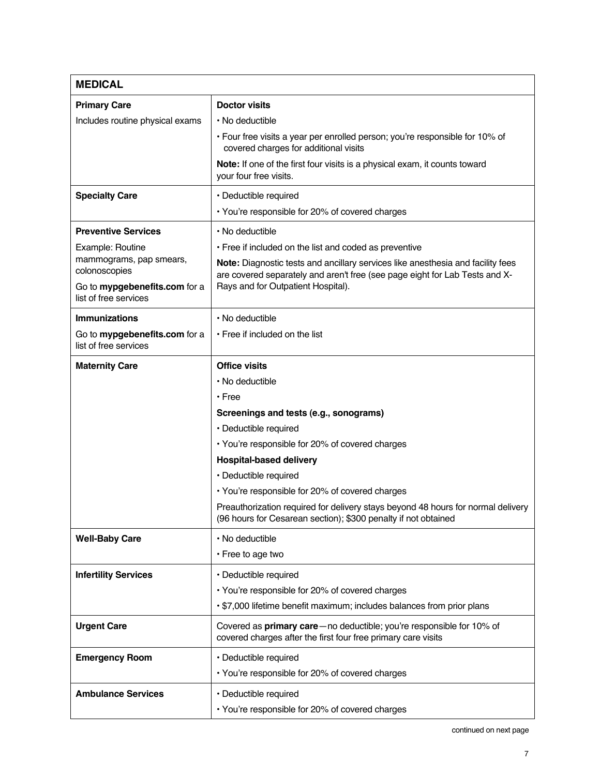| <b>MEDICAL</b>                                         |                                                                                                                                                    |  |  |  |
|--------------------------------------------------------|----------------------------------------------------------------------------------------------------------------------------------------------------|--|--|--|
| <b>Primary Care</b>                                    | <b>Doctor visits</b>                                                                                                                               |  |  |  |
| Includes routine physical exams                        | • No deductible                                                                                                                                    |  |  |  |
|                                                        | . Four free visits a year per enrolled person; you're responsible for 10% of<br>covered charges for additional visits                              |  |  |  |
|                                                        | Note: If one of the first four visits is a physical exam, it counts toward<br>your four free visits.                                               |  |  |  |
| <b>Specialty Care</b>                                  | · Deductible required                                                                                                                              |  |  |  |
|                                                        | • You're responsible for 20% of covered charges                                                                                                    |  |  |  |
| <b>Preventive Services</b>                             | • No deductible                                                                                                                                    |  |  |  |
| Example: Routine                                       | • Free if included on the list and coded as preventive                                                                                             |  |  |  |
| mammograms, pap smears,<br>colonoscopies               | Note: Diagnostic tests and ancillary services like anesthesia and facility fees                                                                    |  |  |  |
| Go to mypgebenefits.com for a<br>list of free services | are covered separately and aren't free (see page eight for Lab Tests and X-<br>Rays and for Outpatient Hospital).                                  |  |  |  |
| <b>Immunizations</b>                                   | • No deductible                                                                                                                                    |  |  |  |
| Go to mypgebenefits.com for a<br>list of free services | • Free if included on the list                                                                                                                     |  |  |  |
| <b>Maternity Care</b>                                  | <b>Office visits</b>                                                                                                                               |  |  |  |
|                                                        | • No deductible                                                                                                                                    |  |  |  |
|                                                        | • Free                                                                                                                                             |  |  |  |
|                                                        | Screenings and tests (e.g., sonograms)                                                                                                             |  |  |  |
|                                                        | · Deductible required                                                                                                                              |  |  |  |
|                                                        | • You're responsible for 20% of covered charges                                                                                                    |  |  |  |
|                                                        | <b>Hospital-based delivery</b>                                                                                                                     |  |  |  |
|                                                        | • Deductible required                                                                                                                              |  |  |  |
|                                                        | • You're responsible for 20% of covered charges                                                                                                    |  |  |  |
|                                                        | Preauthorization required for delivery stays beyond 48 hours for normal delivery<br>(96 hours for Cesarean section); \$300 penalty if not obtained |  |  |  |
| <b>Well-Baby Care</b>                                  | · No deductible                                                                                                                                    |  |  |  |
|                                                        | • Free to age two                                                                                                                                  |  |  |  |
| <b>Infertility Services</b>                            | · Deductible required                                                                                                                              |  |  |  |
|                                                        | • You're responsible for 20% of covered charges                                                                                                    |  |  |  |
|                                                        | · \$7,000 lifetime benefit maximum; includes balances from prior plans                                                                             |  |  |  |
| <b>Urgent Care</b>                                     | Covered as primary care-no deductible; you're responsible for 10% of<br>covered charges after the first four free primary care visits              |  |  |  |
| <b>Emergency Room</b>                                  | · Deductible required                                                                                                                              |  |  |  |
|                                                        | • You're responsible for 20% of covered charges                                                                                                    |  |  |  |
| <b>Ambulance Services</b>                              | · Deductible required                                                                                                                              |  |  |  |
|                                                        | • You're responsible for 20% of covered charges                                                                                                    |  |  |  |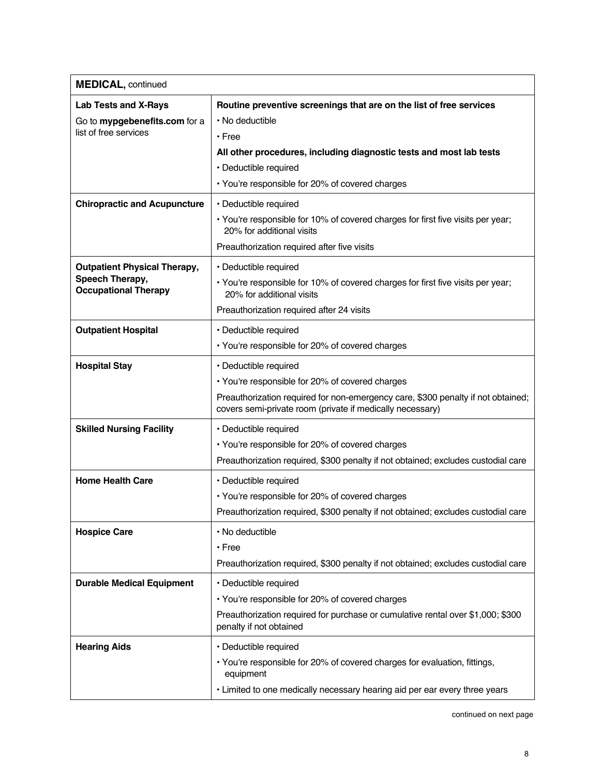| <b>MEDICAL, continued</b>                      |                                                                                                                                               |
|------------------------------------------------|-----------------------------------------------------------------------------------------------------------------------------------------------|
| <b>Lab Tests and X-Rays</b>                    | Routine preventive screenings that are on the list of free services                                                                           |
| Go to mypgebenefits.com for a                  | • No deductible                                                                                                                               |
| list of free services                          | $\cdot$ Free                                                                                                                                  |
|                                                | All other procedures, including diagnostic tests and most lab tests                                                                           |
|                                                | · Deductible required                                                                                                                         |
|                                                | • You're responsible for 20% of covered charges                                                                                               |
| <b>Chiropractic and Acupuncture</b>            | · Deductible required                                                                                                                         |
|                                                | • You're responsible for 10% of covered charges for first five visits per year;<br>20% for additional visits                                  |
|                                                | Preauthorization required after five visits                                                                                                   |
| <b>Outpatient Physical Therapy,</b>            | · Deductible required                                                                                                                         |
| Speech Therapy,<br><b>Occupational Therapy</b> | • You're responsible for 10% of covered charges for first five visits per year;<br>20% for additional visits                                  |
|                                                | Preauthorization required after 24 visits                                                                                                     |
| <b>Outpatient Hospital</b>                     | · Deductible required                                                                                                                         |
|                                                | • You're responsible for 20% of covered charges                                                                                               |
| <b>Hospital Stay</b>                           | · Deductible required                                                                                                                         |
|                                                | • You're responsible for 20% of covered charges                                                                                               |
|                                                | Preauthorization required for non-emergency care, \$300 penalty if not obtained;<br>covers semi-private room (private if medically necessary) |
| <b>Skilled Nursing Facility</b>                | · Deductible required                                                                                                                         |
|                                                | • You're responsible for 20% of covered charges                                                                                               |
|                                                | Preauthorization required, \$300 penalty if not obtained; excludes custodial care                                                             |
| <b>Home Health Care</b>                        | · Deductible required                                                                                                                         |
|                                                | • You're responsible for 20% of covered charges                                                                                               |
|                                                | Preauthorization required, \$300 penalty if not obtained; excludes custodial care                                                             |
| <b>Hospice Care</b>                            | • No deductible                                                                                                                               |
|                                                | $\cdot$ Free                                                                                                                                  |
|                                                | Preauthorization required, \$300 penalty if not obtained; excludes custodial care                                                             |
| <b>Durable Medical Equipment</b>               | · Deductible required                                                                                                                         |
|                                                | • You're responsible for 20% of covered charges                                                                                               |
|                                                | Preauthorization required for purchase or cumulative rental over \$1,000; \$300<br>penalty if not obtained                                    |
| <b>Hearing Aids</b>                            | · Deductible required                                                                                                                         |
|                                                | • You're responsible for 20% of covered charges for evaluation, fittings,<br>equipment                                                        |
|                                                | . Limited to one medically necessary hearing aid per ear every three years                                                                    |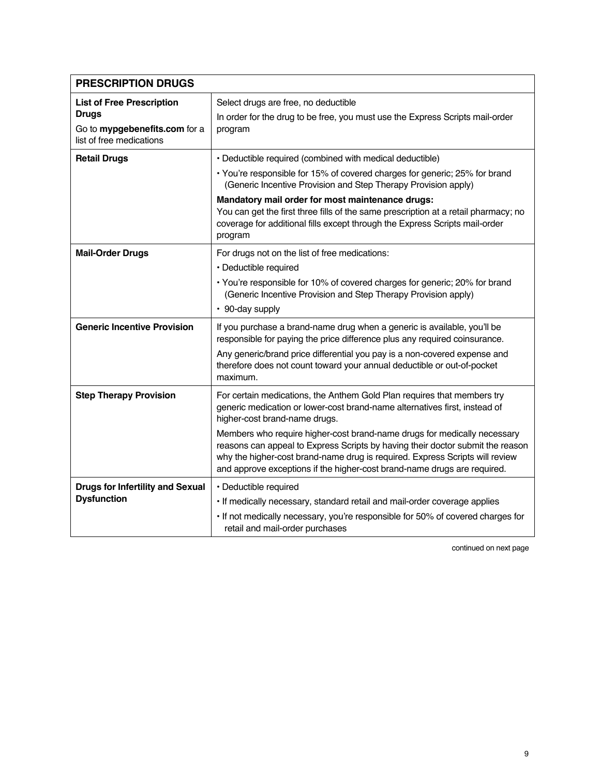| <b>PRESCRIPTION DRUGS</b>                                                                                     |                                                                                                                                                                                                                                                                                                                                                                                                                                                                                                                  |
|---------------------------------------------------------------------------------------------------------------|------------------------------------------------------------------------------------------------------------------------------------------------------------------------------------------------------------------------------------------------------------------------------------------------------------------------------------------------------------------------------------------------------------------------------------------------------------------------------------------------------------------|
| <b>List of Free Prescription</b><br><b>Drugs</b><br>Go to mypgebenefits.com for a<br>list of free medications | Select drugs are free, no deductible<br>In order for the drug to be free, you must use the Express Scripts mail-order<br>program                                                                                                                                                                                                                                                                                                                                                                                 |
| <b>Retail Drugs</b>                                                                                           | • Deductible required (combined with medical deductible)<br>• You're responsible for 15% of covered charges for generic; 25% for brand<br>(Generic Incentive Provision and Step Therapy Provision apply)                                                                                                                                                                                                                                                                                                         |
|                                                                                                               | Mandatory mail order for most maintenance drugs:<br>You can get the first three fills of the same prescription at a retail pharmacy; no<br>coverage for additional fills except through the Express Scripts mail-order<br>program                                                                                                                                                                                                                                                                                |
| <b>Mail-Order Drugs</b>                                                                                       | For drugs not on the list of free medications:<br>· Deductible required<br>• You're responsible for 10% of covered charges for generic; 20% for brand<br>(Generic Incentive Provision and Step Therapy Provision apply)<br>• 90-day supply                                                                                                                                                                                                                                                                       |
| <b>Generic Incentive Provision</b>                                                                            | If you purchase a brand-name drug when a generic is available, you'll be<br>responsible for paying the price difference plus any required coinsurance.<br>Any generic/brand price differential you pay is a non-covered expense and<br>therefore does not count toward your annual deductible or out-of-pocket<br>maximum.                                                                                                                                                                                       |
| <b>Step Therapy Provision</b>                                                                                 | For certain medications, the Anthem Gold Plan requires that members try<br>generic medication or lower-cost brand-name alternatives first, instead of<br>higher-cost brand-name drugs.<br>Members who require higher-cost brand-name drugs for medically necessary<br>reasons can appeal to Express Scripts by having their doctor submit the reason<br>why the higher-cost brand-name drug is required. Express Scripts will review<br>and approve exceptions if the higher-cost brand-name drugs are required. |
| <b>Drugs for Infertility and Sexual</b><br><b>Dysfunction</b>                                                 | · Deductible required<br>. If medically necessary, standard retail and mail-order coverage applies<br>. If not medically necessary, you're responsible for 50% of covered charges for<br>retail and mail-order purchases                                                                                                                                                                                                                                                                                         |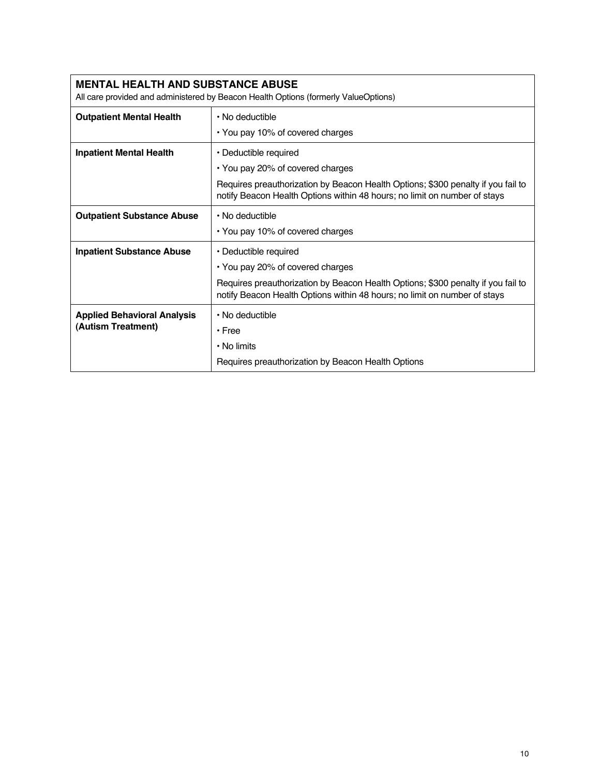| <b>MENTAL HEALTH AND SUBSTANCE ABUSE</b><br>All care provided and administered by Beacon Health Options (formerly ValueOptions) |                                                                                                                                                               |  |  |  |
|---------------------------------------------------------------------------------------------------------------------------------|---------------------------------------------------------------------------------------------------------------------------------------------------------------|--|--|--|
| <b>Outpatient Mental Health</b>                                                                                                 | • No deductible                                                                                                                                               |  |  |  |
|                                                                                                                                 | • You pay 10% of covered charges                                                                                                                              |  |  |  |
| <b>Inpatient Mental Health</b>                                                                                                  | • Deductible required                                                                                                                                         |  |  |  |
|                                                                                                                                 | • You pay 20% of covered charges                                                                                                                              |  |  |  |
|                                                                                                                                 | Requires preauthorization by Beacon Health Options; \$300 penalty if you fail to<br>notify Beacon Health Options within 48 hours; no limit on number of stays |  |  |  |
| <b>Outpatient Substance Abuse</b>                                                                                               | • No deductible                                                                                                                                               |  |  |  |
|                                                                                                                                 | • You pay 10% of covered charges                                                                                                                              |  |  |  |
| <b>Inpatient Substance Abuse</b>                                                                                                | • Deductible required                                                                                                                                         |  |  |  |
|                                                                                                                                 | • You pay 20% of covered charges                                                                                                                              |  |  |  |
|                                                                                                                                 | Requires preauthorization by Beacon Health Options; \$300 penalty if you fail to<br>notify Beacon Health Options within 48 hours; no limit on number of stays |  |  |  |
| <b>Applied Behavioral Analysis</b>                                                                                              | • No deductible                                                                                                                                               |  |  |  |
| (Autism Treatment)                                                                                                              | • Free                                                                                                                                                        |  |  |  |
|                                                                                                                                 | $\cdot$ No limits                                                                                                                                             |  |  |  |
|                                                                                                                                 | Requires preauthorization by Beacon Health Options                                                                                                            |  |  |  |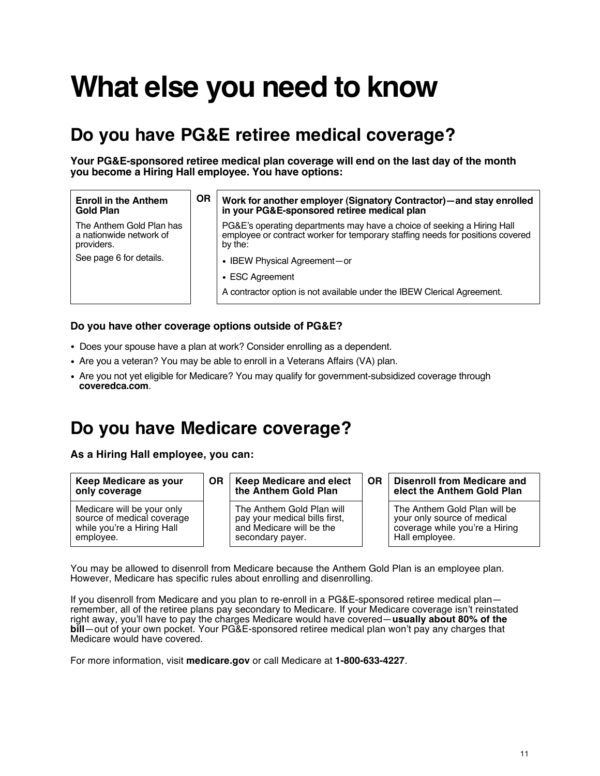# **What else you need to know**

## **Do you have PG&E retiree medical coverage?**

**Your PG&E-sponsored retiree medical plan coverage will end on the last day of the month you become a Hiring Hall employee. You have options:**

#### **Enroll in the Anthem Gold Plan**

The Anthem Gold Plan has a nationwide network of providers.

See page 6 for details.

### **OR Work for another employer (Signatory Contractor)—and stay enrolled in your PG&E-sponsored retiree medical plan**

PG&E's operating departments may have a choice of seeking a Hiring Hall employee or contract worker for temporary staffing needs for positions covered by the:

- IBEW Physical Agreement—or
- ESC Agreement

A contractor option is not available under the IBEW Clerical Agreement.

### **Do you have other coverage options outside of PG&E?**

- Does your spouse have a plan at work? Consider enrolling as a dependent.
- Are you a veteran? You may be able to enroll in a Veterans Affairs (VA) plan.
- Are you not yet eligible for Medicare? You may qualify for government-subsidized coverage through **coveredca.com**.

### **Do you have Medicare coverage?**

**As a Hiring Hall employee, you can:** 

| Keep Medicare as your<br>only coverage                                                              | <b>OR</b> | <b>Keep Medicare and elect</b><br><b>OR</b><br>the Anthem Gold Plan                                        |  | <b>Disenroll from Medicare and</b><br>elect the Anthem Gold Plan                                                |
|-----------------------------------------------------------------------------------------------------|-----------|------------------------------------------------------------------------------------------------------------|--|-----------------------------------------------------------------------------------------------------------------|
| Medicare will be your only<br>source of medical coverage<br>while you're a Hiring Hall<br>employee. |           | The Anthem Gold Plan will<br>pay your medical bills first,<br>and Medicare will be the<br>secondary payer. |  | The Anthem Gold Plan will be<br>your only source of medical<br>coverage while you're a Hiring<br>Hall employee. |

You may be allowed to disenroll from Medicare because the Anthem Gold Plan is an employee plan. However, Medicare has specific rules about enrolling and disenrolling.

If you disenroll from Medicare and you plan to re-enroll in a PG&E-sponsored retiree medical plan remember, all of the retiree plans pay secondary to Medicare. If your Medicare coverage isn't reinstated right away, you'll have to pay the charges Medicare would have covered—**usually about 80% of the bill**—out of your own pocket. Your PG&E-sponsored retiree medical plan won't pay any charges that Medicare would have covered.

For more information, visit **medicare.gov** or call Medicare at **1-800-633-4227**.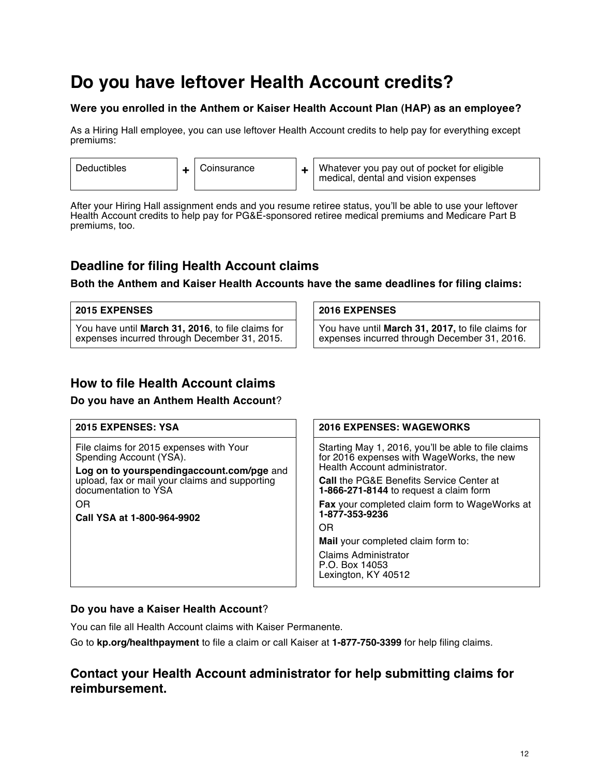# **Do you have leftover Health Account credits?**

### **Were you enrolled in the Anthem or Kaiser Health Account Plan (HAP) as an employee?**

As a Hiring Hall employee, you can use leftover Health Account credits to help pay for everything except premiums:

| <b>Deductibles</b> |  | Coinsurance |  | Whatever you pay out of pocket for eligible<br>medical, dental and vision expenses |
|--------------------|--|-------------|--|------------------------------------------------------------------------------------|
|--------------------|--|-------------|--|------------------------------------------------------------------------------------|

After your Hiring Hall assignment ends and you resume retiree status, you'll be able to use your leftover Health Account credits to help pay for PG&E-sponsored retiree medical premiums and Medicare Part B premiums, too.

### **Deadline for filing Health Account claims**

**Both the Anthem and Kaiser Health Accounts have the same deadlines for filing claims:**

### **2015 EXPENSES 2016 EXPENSES**

You have until **March 31, 2016**, to file claims for expenses incurred through December 31, 2015.

You have until **March 31, 2017,** to file claims for expenses incurred through December 31, 2016.

### **How to file Health Account claims**

### **Do you have an Anthem Health Account**?

File claims for 2015 expenses with Your Spending Account (YSA).

**Log on to yourspendingaccount.com/pge** and upload, fax or mail your claims and supporting documentation to YSA

OR

**Call YSA at 1-800-964-9902**

### **2015 EXPENSES: YSA 2016 EXPENSES: WAGEWORKS**

Starting May 1, 2016, you'll be able to file claims for 2016 expenses with WageWorks, the new Health Account administrator.

**Call** the PG&E Benefits Service Center at **1-866-271-8144** to request a claim form

**Fax** your completed claim form to WageWorks at **1-877-353-9236**

OR

**Mail** your completed claim form to:

Claims Administrator P.O. Box 14053 Lexington, KY 40512

### **Do you have a Kaiser Health Account**?

You can file all Health Account claims with Kaiser Permanente.

Go to **kp.org/healthpayment** to file a claim or call Kaiser at **1-877-750-3399** for help filing claims.

### **Contact your Health Account administrator for help submitting claims for reimbursement.**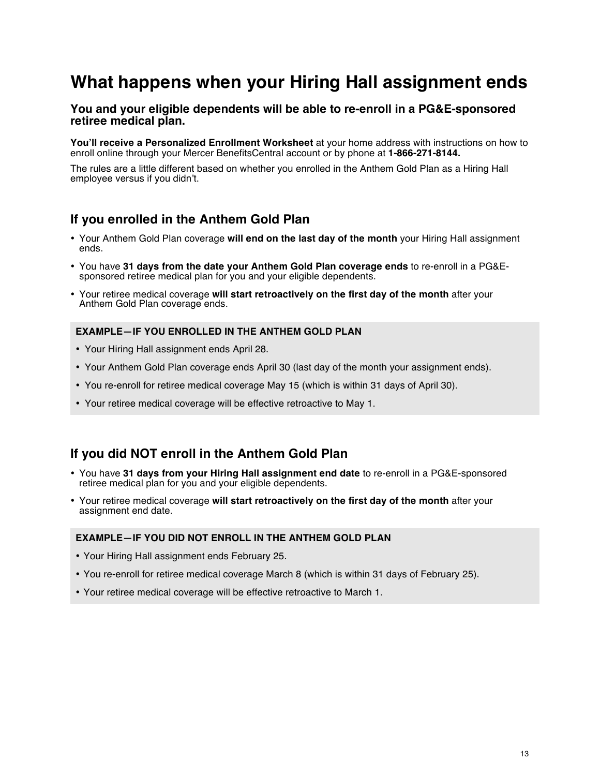# **What happens when your Hiring Hall assignment ends**

### **You and your eligible dependents will be able to re-enroll in a PG&E-sponsored retiree medical plan.**

**You'll receive a Personalized Enrollment Worksheet** at your home address with instructions on how to enroll online through your Mercer BenefitsCentral account or by phone at **1-866-271-8144.**

The rules are a little different based on whether you enrolled in the Anthem Gold Plan as a Hiring Hall employee versus if you didn't.

### **If you enrolled in the Anthem Gold Plan**

- Your Anthem Gold Plan coverage **will end on the last day of the month** your Hiring Hall assignment ends.
- You have **31 days from the date your Anthem Gold Plan coverage ends** to re-enroll in a PG&Esponsored retiree medical plan for you and your eligible dependents.
- Your retiree medical coverage **will start retroactively on the first day of the month** after your Anthem Gold Plan coverage ends.

### **EXAMPLE—IF YOU ENROLLED IN THE ANTHEM GOLD PLAN**

- Your Hiring Hall assignment ends April 28.
- Your Anthem Gold Plan coverage ends April 30 (last day of the month your assignment ends).
- You re-enroll for retiree medical coverage May 15 (which is within 31 days of April 30).
- Your retiree medical coverage will be effective retroactive to May 1.

### **If you did NOT enroll in the Anthem Gold Plan**

- You have **31 days from your Hiring Hall assignment end date** to re-enroll in a PG&E-sponsored retiree medical plan for you and your eligible dependents.
- Your retiree medical coverage **will start retroactively on the first day of the month** after your assignment end date.

### **EXAMPLE—IF YOU DID NOT ENROLL IN THE ANTHEM GOLD PLAN**

- Your Hiring Hall assignment ends February 25.
- You re-enroll for retiree medical coverage March 8 (which is within 31 days of February 25).
- Your retiree medical coverage will be effective retroactive to March 1.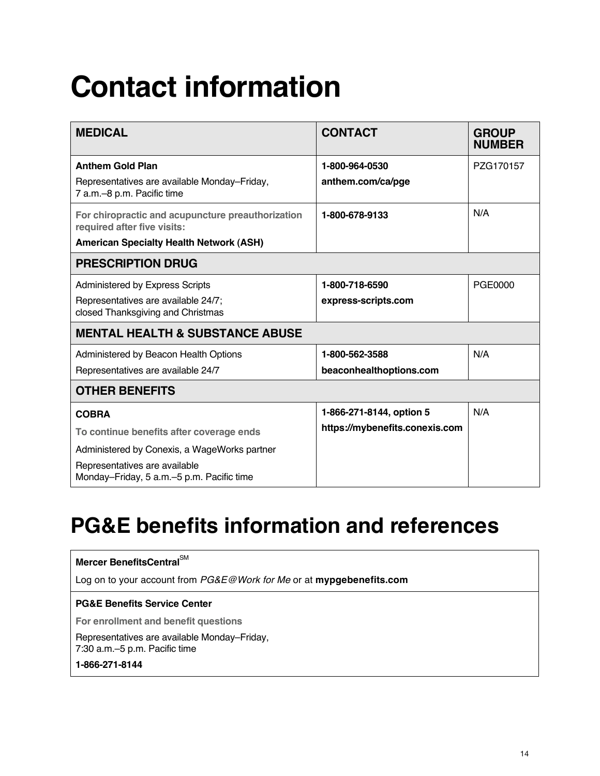# **Contact information**

| <b>MEDICAL</b>                                                                   | <b>CONTACT</b>                  | <b>GROUP</b><br><b>NUMBER</b> |
|----------------------------------------------------------------------------------|---------------------------------|-------------------------------|
| <b>Anthem Gold Plan</b>                                                          | 1-800-964-0530                  | PZG170157                     |
| Representatives are available Monday-Friday,<br>7 a.m.-8 p.m. Pacific time       | anthem.com/ca/pge               |                               |
| For chiropractic and acupuncture preauthorization<br>required after five visits: | 1-800-678-9133                  | N/A                           |
| <b>American Specialty Health Network (ASH)</b>                                   |                                 |                               |
| <b>PRESCRIPTION DRUG</b>                                                         |                                 |                               |
| Administered by Express Scripts                                                  | 1-800-718-6590                  | PGE0000                       |
| Representatives are available 24/7;<br>closed Thanksgiving and Christmas         | express-scripts.com             |                               |
| <b>MENTAL HEALTH &amp; SUBSTANCE ABUSE</b>                                       |                                 |                               |
| Administered by Beacon Health Options                                            | 1-800-562-3588                  | N/A                           |
| Representatives are available 24/7                                               | beaconhealthoptions.com         |                               |
| <b>OTHER BENEFITS</b>                                                            |                                 |                               |
| <b>COBRA</b>                                                                     | N/A<br>1-866-271-8144, option 5 |                               |
| To continue benefits after coverage ends                                         | https://mybenefits.conexis.com  |                               |
| Administered by Conexis, a WageWorks partner                                     |                                 |                               |
| Representatives are available<br>Monday-Friday, 5 a.m. - 5 p.m. Pacific time     |                                 |                               |

# **PG&E benefits information and references**

| Mercer BenefitsCentral <sup>SM</sup>                                                   |
|----------------------------------------------------------------------------------------|
| Log on to your account from <i>PG&amp;E@Work for Me</i> or at <b>mypgebenefits.com</b> |
| <b>PG&amp;E Benefits Service Center</b>                                                |
| For enrollment and benefit questions                                                   |
| Representatives are available Monday–Friday,<br>7:30 a.m. - 5 p.m. Pacific time        |
| 1-866-271-8144                                                                         |